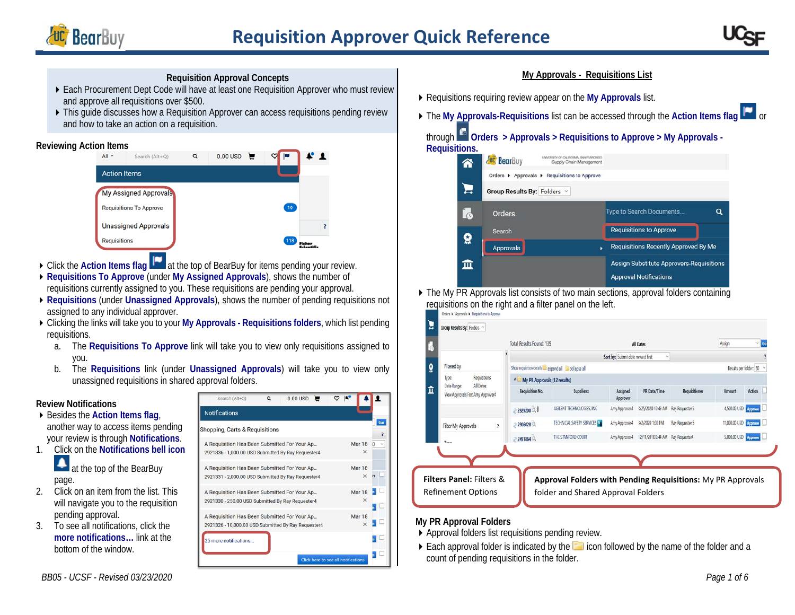



## **Requisition Approval Concepts**

- ▶ Each Procurement Dept Code will have at least one Requisition Approver who must review and approve all requisitions over \$500.
- $\triangleright$  This guide discusses how a Requisition Approver can access requisitions pending review and how to take an action on a requisition.

#### **Reviewing Action Items**



- ▶ Click the **Action Items flag** at the top of BearBuy for items pending your review.
- **Requisitions To Approve** (under **My Assigned Approvals**), shows the number of requisitions currently assigned to you. These requisitions are pending your approval.
- **Requisitions** (under **Unassigned Approvals**), shows the number of pending requisitions not assigned to any individual approver.
- Clicking the links will take you to your **My Approvals - Requisitions folders**, which list pending requisitions.
	- a. The **Requisitions To Approve** link will take you to view only requisitions assigned to you.
	- b. The **Requisitions** link (under **Unassigned Approvals**) will take you to view only unassigned requisitions in shared approval folders.

## **Review Notifications**

- ▶ Besides the **Action Items flag**, another way to access items pending your review is through **Notifications**.
- 1. Click on the **Notifications bell icon** at the top of the BearBuy



- 2. Click on an item from the list. This will navigate you to the requisition pending approval.
- 3. To see all notifications, click the **more notifications…** link at the bottom of the window.

| <b>Notifications</b>                                                                                |  |                                     |                           |          |    |
|-----------------------------------------------------------------------------------------------------|--|-------------------------------------|---------------------------|----------|----|
| Shopping, Carts & Requisitions                                                                      |  |                                     |                           |          | Go |
| A Requisition Has Been Submitted For Your Ap<br>2921336 - 1,000.00 USD Submitted By Ray Requester4  |  |                                     | Mar 18<br>$\times$        | $\Omega$ |    |
| A Requisition Has Been Submitted For Your Ap<br>2921331 - 2,000.00 USD Submitted By Ray Requester4  |  |                                     | Mar 18<br>$\times$        |          |    |
| A Requisition Has Been Submitted For Your Ap<br>2921330 - 250.00 USD Submitted By Ray Requester4    |  |                                     | <b>Mar 18</b><br>$\times$ |          |    |
| A Requisition Has Been Submitted For Your Ap<br>2921326 - 10,000.00 USD Submitted By Ray Requester4 |  |                                     | <b>Mar 18</b><br>$\times$ |          |    |
| 25 more notifications                                                                               |  |                                     |                           |          |    |
|                                                                                                     |  | Click here to see all notifications |                           |          |    |

 $0.001180$ 

 $\sim$   $\sim$   $\sim$   $\sim$ 

#### **My Approvals - Requisitions List**

- Requisitions requiring review appear on the **My Approvals** list.
- ▶ The My Approvals-Requisitions list can be accessed through the Action Items flag **be** or

# through **Orders > Approvals > Requisitions to Approve > My Approvals - Requisitions.**



▶ The My PR Approvals list consists of two main sections, approval folders containing requisitions on the right and a filter panel on the left.



#### **My PR Approval Folders**

- Approval folders list requisitions pending review.
- $\triangleright$  Each approval folder is indicated by the  $\blacksquare$  icon followed by the name of the folder and a count of pending requisitions in the folder.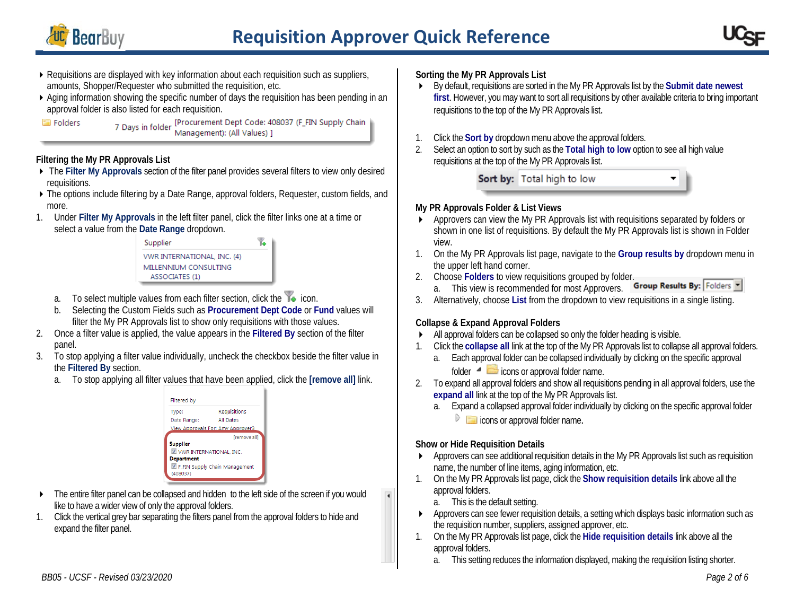

 $\overline{\bullet}$ 



- Requisitions are displayed with key information about each requisition such as suppliers, amounts, Shopper/Requester who submitted the requisition, etc.
- Aging information showing the specific number of days the requisition has been pending in an approval folder is also listed for each requisition.

7 Days in folder [Procurement Dept Code: 408037 (F\_FIN Supply Chain<br>Management): (All Values) ]

## **Filtering the My PR Approvals List**

- The **Filter My Approvals** section of the filter panel provides several filters to view only desired requisitions.
- ▶ The options include filtering by a Date Range, approval folders, Requester, custom fields, and more.
- 1. Under **Filter My Approvals** in the left filter panel, click the filter links one at a time or select a value from the **Date Range** dropdown.



- a. To select multiple values from each filter section, click the  $\mathbb{Y}_\bullet$  icon.
- b. Selecting the Custom Fields such as **Procurement Dept Code** or **Fund** values will filter the My PR Approvals list to show only requisitions with those values.
- 2. Once a filter value is applied, the value appears in the **Filtered By** section of the filter panel.
- 3. To stop applying a filter value individually, uncheck the checkbox beside the filter value in the **Filtered By** section.
	- a. To stop applying all filter values that have been applied, click the **[remove all]** link.



- The entire filter panel can be collapsed and hidden to the left side of the screen if you would like to have a wider view of only the approval folders.
- 1. Click the vertical grey bar separating the filters panel from the approval folders to hide and expand the filter panel.

# **Sorting the My PR Approvals List**

- By default, requisitions are sorted in the My PR Approvals list by the **Submit date newest first**. However, you may want to sort all requisitions by other available criteria to bring important requisitions to the top of the My PR Approvals list.
- 1. Click the **Sort by** dropdown menu above the approval folders.
- 2. Select an option to sort by such as the **Total high to low** option to see all high value requisitions at the top of the My PR Approvals list.

Sort by: Total high to low

# **My PR Approvals Folder & List Views**

- Approvers can view the My PR Approvals list with requisitions separated by folders or shown in one list of requisitions. By default the My PR Approvals list is shown in Folder view.
- 1. On the My PR Approvals list page, navigate to the **Group results by** dropdown menu in the upper left hand corner.
- 
- 2. Choose **Folders** to view requisitions grouped by folder.<br>2. This view is recommended for most Approvers **Group Results By:** Folders a. This view is recommended for most Approvers.
- 3. Alternatively, choose **List** from the dropdown to view requisitions in a single listing.

# **Collapse & Expand Approval Folders**

- All approval folders can be collapsed so only the folder heading is visible.
- 1. Click the **collapse all** link at the top of the My PR Approvals list to collapse all approval folders.
	- a. Each approval folder can be collapsed individually by clicking on the specific approval
		- folder  $\triangleq$  icons or approval folder name.
- 2. To expand all approval folders and show all requisitions pending in all approval folders, use the **expand all** link at the top of the My PR Approvals list.
	- a. Expand a collapsed approval folder individually by clicking on the specific approval folder  $\triangleright$   $\blacksquare$  icons or approval folder name.

# **Show or Hide Requisition Details**

- Approvers can see additional requisition details in the My PR Approvals list such as requisition name, the number of line items, aging information, etc.
- 1. On the My PR Approvals list page, click the **Show requisition details** link above all the approval folders.
	- a. This is the default setting.
- Approvers can see fewer requisition details, a setting which displays basic information such as the requisition number, suppliers, assigned approver, etc.
- 1. On the My PR Approvals list page, click the **Hide requisition details** link above all the approval folders.
	- a. This setting reduces the information displayed, making the requisition listing shorter.

Folders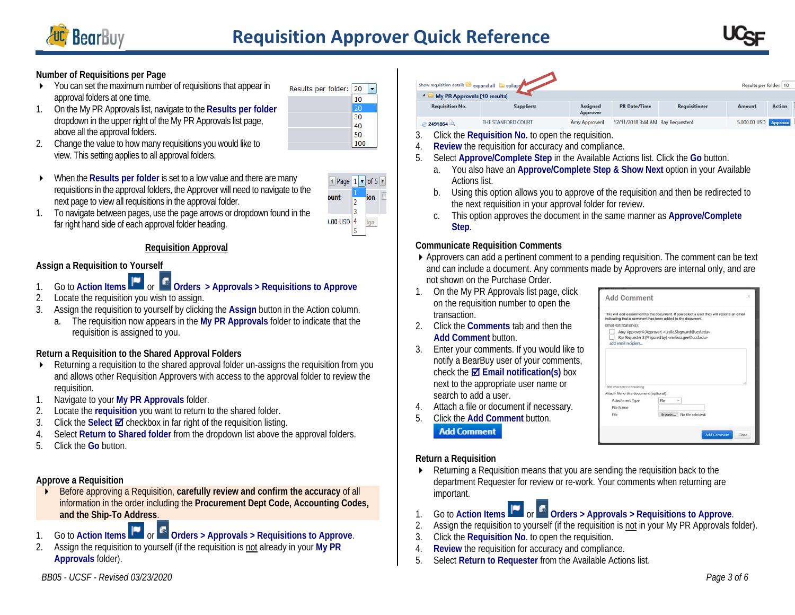



## **Number of Requisitions per Page**

- You can set the maximum number of requisitions that appear in approval folders at one time.
- 1. On the My PR Approvals list, navigate to the **Results per folder** dropdown in the upper right of the My PR Approvals list page, above all the approval folders.
- Results per folder:  $20 -$ 10 20  $30<sup>2</sup>$ 40 50 100
- 2. Change the value to how many requisitions you would like to view. This setting applies to all approval folders.
- ▶ When the **Results per folder** is set to a low value and there are many requisitions in the approval folders, the Approver will need to navigate to the next page to view all requisitions in the approval folder.



1. To navigate between pages, use the page arrows or dropdown found in the far right hand side of each approval folder heading.

## **Requisition Approval**

## **Assign a Requisition to Yourself**

- 1. Go to **Action Items** or **Orders > Approvals > Requisitions to Approve**
- 2. Locate the requisition you wish to assign.
- 3. Assign the requisition to yourself by clicking the **Assign** button in the Action column.
	- a. The requisition now appears in the **My PR Approvals** folder to indicate that the requisition is assigned to you.

## **Return a Requisition to the Shared Approval Folders**

- Returning a requisition to the shared approval folder un-assigns the requisition from you and allows other Requisition Approvers with access to the approval folder to review the requisition.
- 1. Navigate to your **My PR Approvals** folder.
- 2. Locate the **requisition** you want to return to the shared folder.
- 3. Click the **Select ⊠** checkbox in far right of the requisition listing.
- 4. Select **Return to Shared folder** from the dropdown list above the approval folders.
- 5. Click the **Go** button.

# **Approve a Requisition**

- Before approving a Requisition, **carefully review and confirm the accuracy** of all information in the order including the **Procurement Dept Code, Accounting Codes, and the Ship-To Address**.
- 1. Go to Action Items **The orders >** Approvals **>** Requisitions to Approve.
- 2. Assign the requisition to yourself (if the requisition is not already in your **My PR Approvals** folder).

| how requisition details expand all El collaps |                              |                                    |                                   |                      | Results per folder: 10      |               |  |  |  |  |
|-----------------------------------------------|------------------------------|------------------------------------|-----------------------------------|----------------------|-----------------------------|---------------|--|--|--|--|
|                                               | My PR Approvals [10 results] |                                    |                                   |                      |                             |               |  |  |  |  |
| <b>Requisition No.</b>                        | <b>Suppliers:</b>            | <b>Assigned</b><br><b>Approver</b> | <b>PR</b> Date/Time               | <b>Requisitioner</b> | Amount                      | <b>Action</b> |  |  |  |  |
| 2491864                                       | THE STANFORD COURT           | Amy Approver4                      | 12/11/2018 8:44 AM Ray Requester4 |                      | 5,000.00 USD <b>Approve</b> |               |  |  |  |  |

- 3. Click the **Requisition No.** to open the requisition.
- 4. **Review** the requisition for accuracy and compliance.
- 5. Select **Approve/Complete Step** in the Available Actions list. Click the **Go** button.
	- a. You also have an **Approve/Complete Step & Show Next** option in your Available Actions list.
	- b. Using this option allows you to approve of the requisition and then be redirected to the next requisition in your approval folder for review.
	- c. This option approves the document in the same manner as **Approve/Complete Step**.

## **Communicate Requisition Comments**

Approvers can add a pertinent comment to a pending requisition. The comment can be text and can include a document. Any comments made by Approvers are internal only, and are not shown on the Purchase Order.

 $A \, d \, d$  Command

- 1. On the My PR Approvals list page, click on the requisition number to open the transaction.
- 2. Click the **Comments** tab and then the **Add Comment** button.
- 3. Enter your comments. If you would like to notify a BearBuy user of your comments, check the **Email notification(s)** box next to the appropriate user name or search to add a user.
- 4. Attach a file or document if necessary.
- 5. Click the **Add Comment** button. **Add Comment**

|                                                                       | This will add a comment to the document. If you select a user they will receive an email<br>indicating that a comment has been added to the document. |  |
|-----------------------------------------------------------------------|-------------------------------------------------------------------------------------------------------------------------------------------------------|--|
| Email notification(s):                                                |                                                                                                                                                       |  |
|                                                                       | Amy Approver4 (Approver) <leslie.siegmund@ucsf.edu></leslie.siegmund@ucsf.edu>                                                                        |  |
| add email recipient                                                   | Ray Requester 3 (Prepared by) <melissa.gee@ucsf.edu></melissa.gee@ucsf.edu>                                                                           |  |
|                                                                       |                                                                                                                                                       |  |
| 1000 characters remaining<br>Attach file to this document (optional): |                                                                                                                                                       |  |
| Attachment Type                                                       | File                                                                                                                                                  |  |
| File Name<br>File                                                     | Browse<br>No file selected.                                                                                                                           |  |

# **Return a Requisition**

- Returning a Requisition means that you are sending the requisition back to the department Requester for review or re-work. Your comments when returning are important.
- 1. Go to Action Items **The orders >** Approvals **>** Requisitions to Approve.
- 2. Assign the requisition to yourself (if the requisition is not in your My PR Approvals folder).
- 3. Click the **Requisition No**. to open the requisition.
- 4. **Review** the requisition for accuracy and compliance.
- 5. Select **Return to Requester** from the Available Actions list.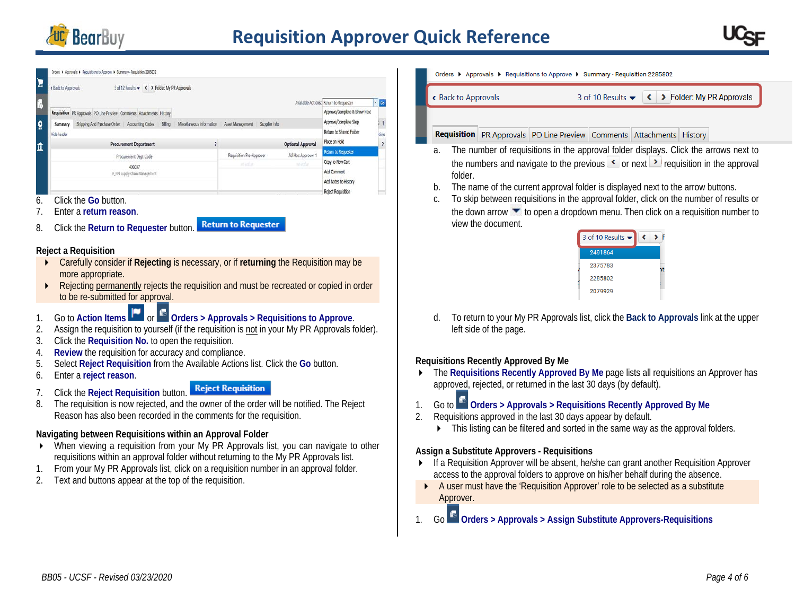

|              | Crders > Approvals > Requisitions to Approve > Summary - Requisition 2285802                                     |                                               |  |               |                          |                                        |             |                          |
|--------------|------------------------------------------------------------------------------------------------------------------|-----------------------------------------------|--|---------------|--------------------------|----------------------------------------|-------------|--------------------------|
| E            | 5 of 12 Results $\rightarrow$ < > Folder: My PR Approvals<br><b>Back to Approvals</b>                            |                                               |  |               |                          |                                        |             |                          |
| k            |                                                                                                                  |                                               |  |               |                          | Available Actions: Return to Requester | <b>D</b> Go |                          |
|              | Requisition PR Approvals PO Line Preview Comments Attachments History                                            |                                               |  |               |                          | Approve/Complete & Show Next           |             |                          |
| $\mathbf{Q}$ | Shipping And Purchase Order Accounting Codes Billing<br>Miscellaneous Information<br>Asset Management<br>Summary |                                               |  | Supplier Info |                          | Approve/Complete Step                  |             | $\rightarrow$            |
|              | Hide header                                                                                                      |                                               |  |               |                          | Return to Shared Folder                | dons        |                          |
| 血            | <b>Procurement Department</b>                                                                                    |                                               |  |               | <b>Optional Approval</b> | Place on Hold                          |             | $\overline{\phantom{a}}$ |
|              | Procurement Dept Code                                                                                            | Requisition Pre-Approver<br>Ad Hoc Approver 1 |  |               | Return to Requester      |                                        |             |                          |
|              | 408037                                                                                                           | Ab arthur                                     |  | no volue.     | Copy to New Cart         |                                        |             |                          |
|              | F_FIN Supply Chain Management                                                                                    |                                               |  |               |                          | Add Comment                            |             |                          |
|              |                                                                                                                  |                                               |  |               |                          | Add Notes to History                   |             |                          |
|              | $\sim \cdots$<br>$\sim$ $\sim$ $\sim$                                                                            |                                               |  |               |                          | Reject Reguisition                     |             |                          |

- 6. Click the **Go** button.
- 7. Enter a **return reason**.
- **Return to Requester** 8. Click the **Return to Requester** button.

#### **Reject a Requisition**

- Carefully consider if **Rejecting** is necessary, or if **returning** the Requisition may be more appropriate.
- **EXECT** Rejecting permanently rejects the requisition and must be recreated or copied in order to be re-submitted for approval.
- 1. Go to Action Items **The orders** > Approvals > Requisitions to Approve.
- 2. Assign the requisition to yourself (if the requisition is not in your My PR Approvals folder).
- 3. Click the **Requisition No.** to open the requisition.
- 4. **Review** the requisition for accuracy and compliance.
- 5. Select **Reject Requisition** from the Available Actions list. Click the **Go** button.
- 6. Enter a **reject reason**.
- 7. Click the **Reject Requisition** button.
- 8. The requisition is now rejected, and the owner of the order will be notified. The Reject Reason has also been recorded in the comments for the requisition.

# **Navigating between Requisitions within an Approval Folder**

- When viewing a requisition from your My PR Approvals list, you can navigate to other requisitions within an approval folder without returning to the My PR Approvals list.
- 1. From your My PR Approvals list, click on a requisition number in an approval folder.
- 2. Text and buttons appear at the top of the requisition.

Orders ▶ Approvals ▶ Requisitions to Approve ▶ Summary - Requisition 2285802

Rack to Approvals

3 of 10 Results <del>v</del> < > Folder: My PR Approvals

**Requisition** PR Approvals PO Line Preview Comments Attachments History

- a. The number of requisitions in the approval folder displays. Click the arrows next to the numbers and navigate to the previous  $\leq$  or next **i** requisition in the approval folder.
- b. The name of the current approval folder is displayed next to the arrow buttons.
- c. To skip between requisitions in the approval folder, click on the number of results or the down arrow to open a dropdown menu. Then click on a requisition number to view the document.

| 3 of 10 Results $\blacktriangleright$ |  |
|---------------------------------------|--|
| 2491864                               |  |
| 2375783                               |  |
| 2285802                               |  |
| 2079929                               |  |
|                                       |  |

d. To return to your My PR Approvals list, click the **Back to Approvals** link at the upper left side of the page.

# **Requisitions Recently Approved By Me**

- The **Requisitions Recently Approved By Me** page lists all requisitions an Approver has approved, rejected, or returned in the last 30 days (by default).
- 1. Go to **Orders > Approvals > Requisitions Recently Approved By Me**
- 2. Requisitions approved in the last 30 days appear by default.
	- $\blacktriangleright$  This listing can be filtered and sorted in the same way as the approval folders.

## **Assign a Substitute Approvers - Requisitions**

- If a Requisition Approver will be absent, he/she can grant another Requisition Approver access to the approval folders to approve on his/her behalf during the absence.
- A user must have the 'Requisition Approver' role to be selected as a substitute Approver.
- 1. Go **Orders > Approvals > Assign Substitute Approvers-Requisitions**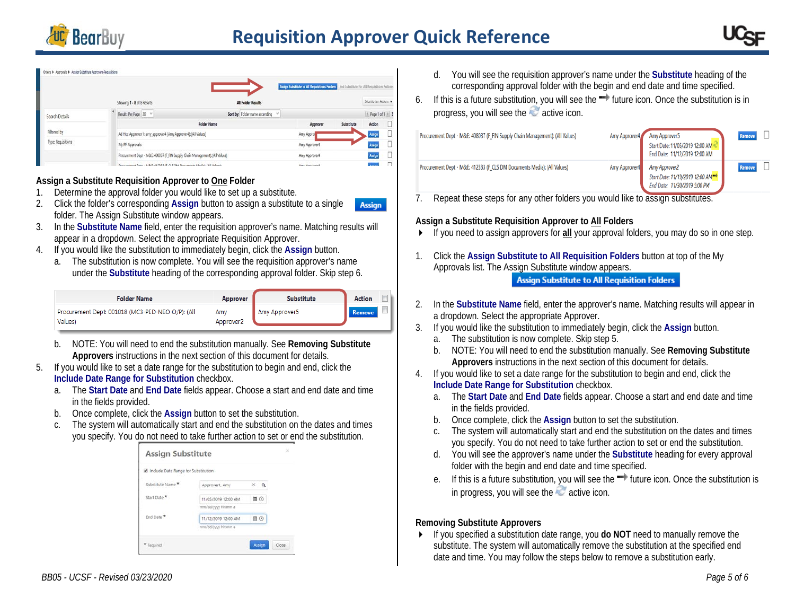



#### Inden | Acorovals | Assion Substitute Acorovers-Requisition

|                    |                                                                              |                                  | Amign Substitute to All Requisitions Folders End Substitute for All Requisitions Folders |            |                      |  |
|--------------------|------------------------------------------------------------------------------|----------------------------------|------------------------------------------------------------------------------------------|------------|----------------------|--|
|                    | Showing 1 - 8 of 8 Results                                                   | All Folder Results               |                                                                                          |            | Substitution Actions |  |
| Search Details     | Results Per Page 20 V                                                        | Sort by: Folder name ascending ~ |                                                                                          |            | Page 1 of 1 P 3      |  |
|                    |                                                                              | <b>Folder Name</b>               | Approver                                                                                 | Substitute | <b>Action</b>        |  |
| Filtered by        | Ad Hoc Approver 1: amy_approver4 (Amy Approver4): (All Values)               |                                  | Amy Approx                                                                               |            | Auign                |  |
| Type: Requisitions | My PR Approvals                                                              |                                  | Amy Approven4                                                                            |            | Assign               |  |
|                    | Procurement Dept - M&E: 408037 (F FIN Supply Chain Management): (All Values) |                                  | Amy Approver4                                                                            |            | Assign               |  |
|                    | Descriptions of Dave - M&C 417222 (C CLC DM Doe monte MarGai-(All Volume)    |                                  | <b>American</b>                                                                          |            | <b>There</b>         |  |

#### **Assign a Substitute Requisition Approver to One Folder**

- 1. Determine the approval folder you would like to set up a substitute.
- 2. Click the folder's corresponding **Assign** button to assign a substitute to a single **Assign** folder. The Assign Substitute window appears.
- 3. In the **Substitute Name** field, enter the requisition approver's name. Matching results will appear in a dropdown. Select the appropriate Requisition Approver.
- 4. If you would like the substitution to immediately begin, click the **Assign** button.
	- a. The substitution is now complete. You will see the requisition approver's name under the **Substitute** heading of the corresponding approval folder. Skip step 6.

| <b>Folder Name</b>                                          | Approver         | <b>Substitute</b> | Action        |  |
|-------------------------------------------------------------|------------------|-------------------|---------------|--|
| Procurement Dept: 001018 (MC3-PED-NEO O/P): (All<br>Values) | Amy<br>Approver2 | Amy Approver5     | <b>Remove</b> |  |

- b. NOTE: You will need to end the substitution manually. See **Removing Substitute Approvers** instructions in the next section of this document for details.
- 5. If you would like to set a date range for the substitution to begin and end, click the **Include Date Range for Substitution** checkbox.
	- a. The **Start Date** and **End Date** fields appear. Choose a start and end date and time in the fields provided.
	- b. Once complete, click the **Assign** button to set the substitution.
	- c. The system will automatically start and end the substitution on the dates and times you specify. You do not need to take further action to set or end the substitution.



- d. You will see the requisition approver's name under the **Substitute** heading of the corresponding approval folder with the begin and end date and time specified.
- 6. If this is a future substitution, you will see the  $\rightarrow$  future icon. Once the substitution is in progress, you will see the active icon.

| Procurement Dept - M&E: 408037 (F_FIN Supply Chain Management): (All Values) | Amy Approver4 | Amy Approver5<br>Start Date: 11/05/2019 12:00 AM<br>End Date: 11/12/2019 12:00 AM                 | Remove |  |
|------------------------------------------------------------------------------|---------------|---------------------------------------------------------------------------------------------------|--------|--|
| Procurement Dept - M&E: 412333 (F_CLS DM Documents Media): (All Values)      | Amy Approver4 | Amy Approver2<br>Start Date: 11/19/2019 12:00 AM <sup>-&gt;</sup><br>End Date: 11/30/2019 5:00 PM | Remove |  |

7. Repeat these steps for any other folders you would like to assign substitutes.

#### **Assign a Substitute Requisition Approver to All Folders**

- If you need to assign approvers for **all** your approval folders, you may do so in one step.
- 1. Click the **Assign Substitute to All Requisition Folders** button at top of the My Approvals list. The Assign Substitute window appears. **Assign Substitute to All Requisition Folders**
- 2. In the **Substitute Name** field, enter the approver's name. Matching results will appear in a dropdown. Select the appropriate Approver.
- 3. If you would like the substitution to immediately begin, click the **Assign** button.
	- a. The substitution is now complete. Skip step 5.
	- b. NOTE: You will need to end the substitution manually. See **Removing Substitute Approvers** instructions in the next section of this document for details.
- 4. If you would like to set a date range for the substitution to begin and end, click the **Include Date Range for Substitution** checkbox.
	- a. The **Start Date** and **End Date** fields appear. Choose a start and end date and time in the fields provided.
	- b. Once complete, click the **Assign** button to set the substitution.
	- c. The system will automatically start and end the substitution on the dates and times you specify. You do not need to take further action to set or end the substitution.
	- d. You will see the approver's name under the **Substitute** heading for every approval folder with the begin and end date and time specified.
	- e. If this is a future substitution, you will see the  $\rightarrow$  future icon. Once the substitution is in progress, you will see the  $\sim$  active icon.

#### **Removing Substitute Approvers**

 If you specified a substitution date range, you **do NOT** need to manually remove the substitute. The system will automatically remove the substitution at the specified end date and time. You may follow the steps below to remove a substitution early.